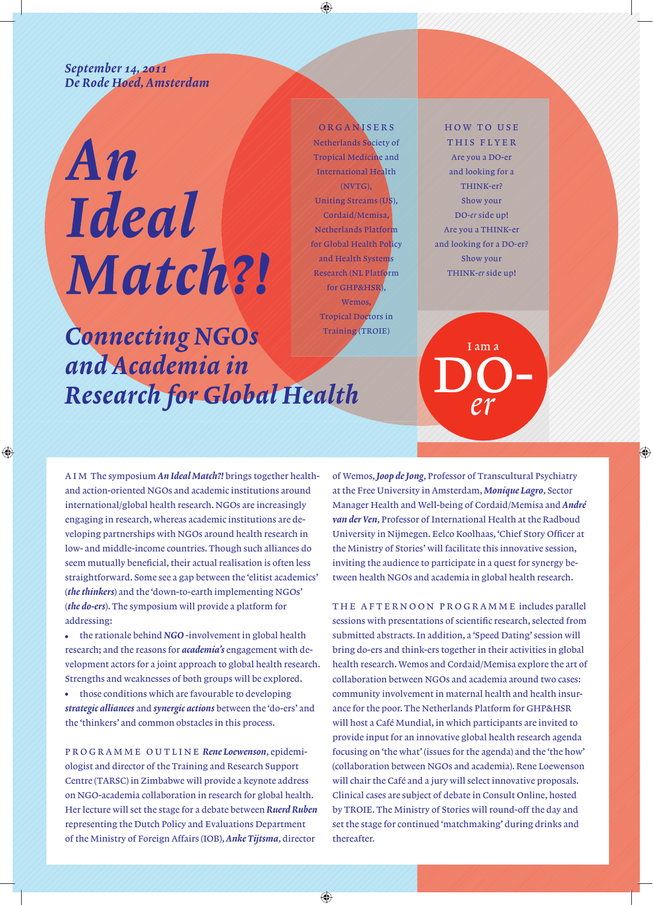*September 14, 2011 De Rode Hoed, Amsterdam*

# An **Ideal** Match?!

 $\bigcirc$ 

ORGANISERS Netherlands Society of Tropical Medicine and International Health (NVTG), Uniting Streams (US), Cordaid/Memisa, Netherlands Platform for Global Health Policy and Health Systems Research (NL Platform for GHP&HSR), Wemos, Tropical Doctors in

◈

### **Connecting NGOs** Training (TROIE) and Academia in Research for Global Health

HOW TO USE THIS FLYER Are you a DO-er and looking for a THINK-er? Show your DO*-er* side up! Are you a THINK-er and looking for a DO-er? Show your THINK*-er* side up!

I am a

⊕

AIM The symposium *An Ideal Match?!* brings together healthand action-oriented NGOs and academic institutions around international/global health research. NGOs are increasingly engaging in research, whereas academic institutions are developing partnerships with NGOs around health research in low- and middle-income countries. Though such alliances do seem mutually beneficial, their actual realisation is often less straightforward. Some see a gap between the 'elitist academics' (*the thinkers*) and the 'down-to-earth implementing NGOs' (*the do-ers*). The symposium will provide a platform for addressing:

- the rationale behind *NGO* -involvement in global health  $\bullet$ research; and the reasons for *academia's* engagement with development actors for a joint approach to global health research. Strengths and weaknesses of both groups will be explored.
- $\bullet$ those conditions which are favourable to developing *strategic alliances* and *synergic actions* between the 'do-ers' and the 'thinkers' and common obstacles in this process.

PROGRAMME OUTLINE *Rene Loewenson*, epidemiologist and director of the Training and Research Support Centre (TARSC) in Zimbabwe will provide a keynote address on NGO-academia collaboration in research for global health. Her lecture will set the stage for a debate between *Ruerd Ruben* representing the Dutch Policy and Evaluations Department of the Ministry of Foreign Affairs (IOB), *Anke Tijtsma*, director

⊕

of Wemos, *Joop de Jong*, Professor of Transcultural Psychiatry at the Free University in Amsterdam, *Monique Lagro*, Sector Manager Health and Well-being of Cordaid/Memisa and *André van der Ven*, Professor of International Health at the Radboud University in Nijmegen. Eelco Koolhaas, 'Chief Story Officer at the Ministry of Stories' will facilitate this innovative session, inviting the audience to participate in a quest for synergy between health NGOs and academia in global health research.

THE AFTERNOON PROGRAMME includes parallel sessions with presentations of scientific research, selected from submitted abstracts. In addition, a 'Speed Dating' session will bring do-ers and think-ers together in their activities in global health research. Wemos and Cordaid/Memisa explore the art of collaboration between NGOs and academia around two cases: community involvement in maternal health and health insurance for the poor. The Netherlands Platform for GHP&HSR will host a Café Mundial, in which participants are invited to provide input for an innovative global health research agenda focusing on 'the what' (issues for the agenda) and the 'the how' (collaboration between NGOs and academia). Rene Loewenson will chair the Café and a jury will select innovative proposals. Clinical cases are subject of debate in Consult Online, hosted by TROIE. The Ministry of Stories will round-off the day and set the stage for continued 'matchmaking' during drinks and thereafter.